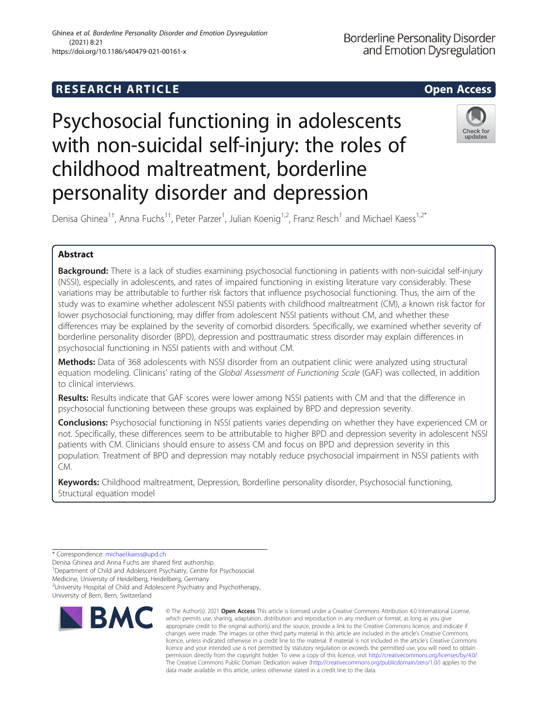# **RESEARCH ARTICLE Example 2014 12:30 The SEAR CH ACCESS**

# Psychosocial functioning in adolescents with non-suicidal self-injury: the roles of childhood maltreatment, borderline personality disorder and depression



Denisa Ghinea<sup>1†</sup>, Anna Fuchs<sup>1†</sup>, Peter Parzer<sup>1</sup>, Julian Koenig<sup>1,2</sup>, Franz Resch<sup>1</sup> and Michael Kaess<sup>1,2\*</sup>

# Abstract

Background: There is a lack of studies examining psychosocial functioning in patients with non-suicidal self-injury (NSSI), especially in adolescents, and rates of impaired functioning in existing literature vary considerably. These variations may be attributable to further risk factors that influence psychosocial functioning. Thus, the aim of the study was to examine whether adolescent NSSI patients with childhood maltreatment (CM), a known risk factor for lower psychosocial functioning, may differ from adolescent NSSI patients without CM, and whether these differences may be explained by the severity of comorbid disorders. Specifically, we examined whether severity of borderline personality disorder (BPD), depression and posttraumatic stress disorder may explain differences in psychosocial functioning in NSSI patients with and without CM.

Methods: Data of 368 adolescents with NSSI disorder from an outpatient clinic were analyzed using structural equation modeling. Clinicans' rating of the Global Assessment of Functioning Scale (GAF) was collected, in addition to clinical interviews.

Results: Results indicate that GAF scores were lower among NSSI patients with CM and that the difference in psychosocial functioning between these groups was explained by BPD and depression severity.

Conclusions: Psychosocial functioning in NSSI patients varies depending on whether they have experienced CM or not. Specifically, these differences seem to be attributable to higher BPD and depression severity in adolescent NSSI patients with CM. Clinicians should ensure to assess CM and focus on BPD and depression severity in this population. Treatment of BPD and depression may notably reduce psychosocial impairment in NSSI patients with CM.

Keywords: Childhood maltreatment, Depression, Borderline personality disorder, Psychosocial functioning, Structural equation model

\* Correspondence: [michael.kaess@upd.ch](mailto:michael.kaess@upd.ch)

Denisa Ghinea and Anna Fuchs are shared first authorship.

<sup>1</sup>Department of Child and Adolescent Psychiatry, Centre for Psychosocial Medicine, University of Heidelberg, Heidelberg, Germany

<sup>2</sup>University Hospital of Child and Adolescent Psychiatry and Psychotherapy, University of Bern, Bern, Switzerland



© The Author(s). 2021 Open Access This article is licensed under a Creative Commons Attribution 4.0 International License, which permits use, sharing, adaptation, distribution and reproduction in any medium or format, as long as you give appropriate credit to the original author(s) and the source, provide a link to the Creative Commons licence, and indicate if changes were made. The images or other third party material in this article are included in the article's Creative Commons licence, unless indicated otherwise in a credit line to the material. If material is not included in the article's Creative Commons licence and your intended use is not permitted by statutory regulation or exceeds the permitted use, you will need to obtain permission directly from the copyright holder. To view a copy of this licence, visit [http://creativecommons.org/licenses/by/4.0/.](http://creativecommons.org/licenses/by/4.0/) The Creative Commons Public Domain Dedication waiver [\(http://creativecommons.org/publicdomain/zero/1.0/](http://creativecommons.org/publicdomain/zero/1.0/)) applies to the data made available in this article, unless otherwise stated in a credit line to the data.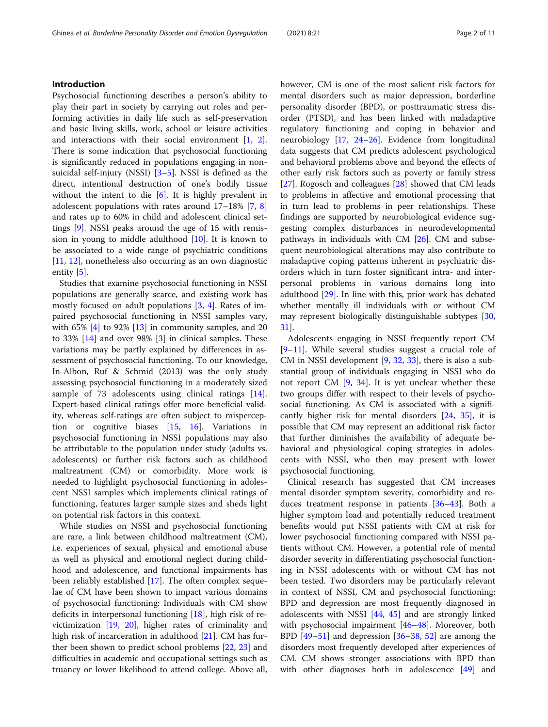# Introduction

Psychosocial functioning describes a person's ability to play their part in society by carrying out roles and performing activities in daily life such as self-preservation and basic living skills, work, school or leisure activities and interactions with their social environment [[1,](#page-8-0) [2](#page-8-0)]. There is some indication that psychosocial functioning is significantly reduced in populations engaging in nonsuicidal self-injury (NSSI) [[3](#page-8-0)–[5\]](#page-8-0). NSSI is defined as the direct, intentional destruction of one's bodily tissue without the intent to die [[6\]](#page-8-0). It is highly prevalent in adolescent populations with rates around 17–18% [[7,](#page-8-0) [8](#page-8-0)] and rates up to 60% in child and adolescent clinical settings [[9](#page-8-0)]. NSSI peaks around the age of 15 with remission in young to middle adulthood  $[10]$  $[10]$ . It is known to be associated to a wide range of psychiatric conditions [[11,](#page-8-0) [12\]](#page-8-0), nonetheless also occurring as an own diagnostic entity [[5\]](#page-8-0).

Studies that examine psychosocial functioning in NSSI populations are generally scarce, and existing work has mostly focused on adult populations [[3,](#page-8-0) [4\]](#page-8-0). Rates of impaired psychosocial functioning in NSSI samples vary, with  $65\%$  [\[4\]](#page-8-0) to 92% [\[13\]](#page-8-0) in community samples, and 20 to 33% [\[14\]](#page-8-0) and over 98% [\[3](#page-8-0)] in clinical samples. These variations may be partly explained by differences in assessment of psychosocial functioning. To our knowledge, In-Albon, Ruf & Schmid (2013) was the only study assessing psychosocial functioning in a moderately sized sample of 73 adolescents using clinical ratings [\[14](#page-8-0)]. Expert-based clinical ratings offer more beneficial validity, whereas self-ratings are often subject to misperception or cognitive biases [[15](#page-8-0), [16](#page-8-0)]. Variations in psychosocial functioning in NSSI populations may also be attributable to the population under study (adults vs. adolescents) or further risk factors such as childhood maltreatment (CM) or comorbidity. More work is needed to highlight psychosocial functioning in adolescent NSSI samples which implements clinical ratings of functioning, features larger sample sizes and sheds light on potential risk factors in this context.

While studies on NSSI and psychosocial functioning are rare, a link between childhood maltreatment (CM), i.e. experiences of sexual, physical and emotional abuse as well as physical and emotional neglect during childhood and adolescence, and functional impairments has been reliably established [[17](#page-8-0)]. The often complex sequelae of CM have been shown to impact various domains of psychosocial functioning: Individuals with CM show deficits in interpersonal functioning [\[18](#page-8-0)], high risk of revictimization [\[19](#page-8-0), [20](#page-8-0)], higher rates of criminality and high risk of incarceration in adulthood [[21\]](#page-8-0). CM has further been shown to predict school problems [[22](#page-9-0), [23](#page-9-0)] and difficulties in academic and occupational settings such as truancy or lower likelihood to attend college. Above all, however, CM is one of the most salient risk factors for mental disorders such as major depression, borderline personality disorder (BPD), or posttraumatic stress disorder (PTSD), and has been linked with maladaptive regulatory functioning and coping in behavior and neurobiology [\[17](#page-8-0), [24](#page-9-0)–[26\]](#page-9-0). Evidence from longitudinal data suggests that CM predicts adolescent psychological and behavioral problems above and beyond the effects of other early risk factors such as poverty or family stress [[27\]](#page-9-0). Rogosch and colleagues [[28\]](#page-9-0) showed that CM leads to problems in affective and emotional processing that in turn lead to problems in peer relationships. These findings are supported by neurobiological evidence suggesting complex disturbances in neurodevelopmental pathways in individuals with CM  $[26]$  $[26]$ . CM and subsequent neurobiological alterations may also contribute to maladaptive coping patterns inherent in psychiatric disorders which in turn foster significant intra- and interpersonal problems in various domains long into adulthood [[29](#page-9-0)]. In line with this, prior work has debated whether mentally ill individuals with or without CM may represent biologically distinguishable subtypes [[30](#page-9-0), [31\]](#page-9-0).

Adolescents engaging in NSSI frequently report CM [[9](#page-8-0)–[11\]](#page-8-0). While several studies suggest a crucial role of CM in NSSI development [\[9](#page-8-0), [32](#page-9-0), [33](#page-9-0)], there is also a substantial group of individuals engaging in NSSI who do not report CM [[9,](#page-8-0) [34](#page-9-0)]. It is yet unclear whether these two groups differ with respect to their levels of psychosocial functioning. As CM is associated with a significantly higher risk for mental disorders [\[24,](#page-9-0) [35](#page-9-0)], it is possible that CM may represent an additional risk factor that further diminishes the availability of adequate behavioral and physiological coping strategies in adolescents with NSSI, who then may present with lower psychosocial functioning.

Clinical research has suggested that CM increases mental disorder symptom severity, comorbidity and reduces treatment response in patients [\[36](#page-9-0)–[43\]](#page-9-0). Both a higher symptom load and potentially reduced treatment benefits would put NSSI patients with CM at risk for lower psychosocial functioning compared with NSSI patients without CM. However, a potential role of mental disorder severity in differentiating psychosocial functioning in NSSI adolescents with or without CM has not been tested. Two disorders may be particularly relevant in context of NSSI, CM and psychosocial functioning: BPD and depression are most frequently diagnosed in adolescents with NSSI [\[44](#page-9-0), [45\]](#page-9-0) and are strongly linked with psychosocial impairment [[46](#page-9-0)–[48\]](#page-9-0). Moreover, both BPD  $[49-51]$  $[49-51]$  $[49-51]$  $[49-51]$  $[49-51]$  and depression  $[36-38, 52]$  $[36-38, 52]$  $[36-38, 52]$  $[36-38, 52]$  $[36-38, 52]$  $[36-38, 52]$  are among the disorders most frequently developed after experiences of CM. CM shows stronger associations with BPD than with other diagnoses both in adolescence [[49](#page-9-0)] and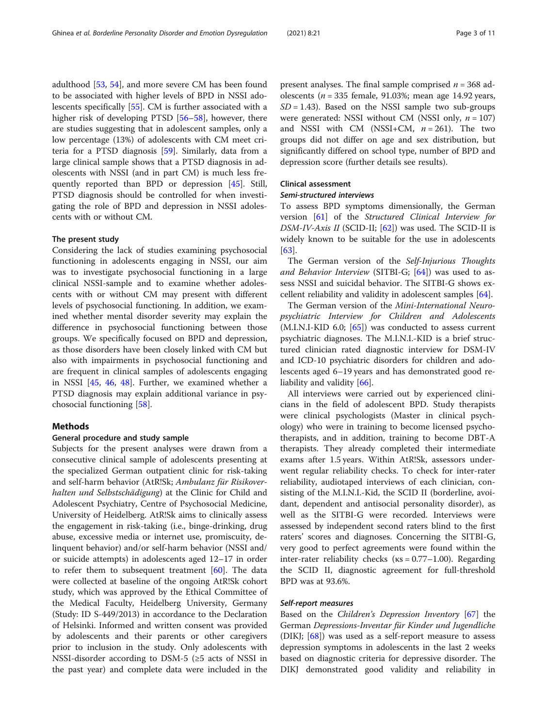adulthood [\[53](#page-9-0), [54](#page-9-0)], and more severe CM has been found to be associated with higher levels of BPD in NSSI adolescents specifically [\[55](#page-9-0)]. CM is further associated with a higher risk of developing PTSD [\[56](#page-9-0)–[58\]](#page-10-0), however, there are studies suggesting that in adolescent samples, only a low percentage (13%) of adolescents with CM meet criteria for a PTSD diagnosis [\[59\]](#page-10-0). Similarly, data from a large clinical sample shows that a PTSD diagnosis in adolescents with NSSI (and in part CM) is much less frequently reported than BPD or depression [\[45](#page-9-0)]. Still, PTSD diagnosis should be controlled for when investigating the role of BPD and depression in NSSI adolescents with or without CM.

# The present study

Considering the lack of studies examining psychosocial functioning in adolescents engaging in NSSI, our aim was to investigate psychosocial functioning in a large clinical NSSI-sample and to examine whether adolescents with or without CM may present with different levels of psychosocial functioning. In addition, we examined whether mental disorder severity may explain the difference in psychosocial functioning between those groups. We specifically focused on BPD and depression, as those disorders have been closely linked with CM but also with impairments in psychosocial functioning and are frequent in clinical samples of adolescents engaging in NSSI [[45,](#page-9-0) [46](#page-9-0), [48\]](#page-9-0). Further, we examined whether a PTSD diagnosis may explain additional variance in psychosocial functioning [\[58](#page-10-0)].

# Methods

# General procedure and study sample

Subjects for the present analyses were drawn from a consecutive clinical sample of adolescents presenting at the specialized German outpatient clinic for risk-taking and self-harm behavior (AtR!Sk; Ambulanz für Risikoverhalten und Selbstschädigung) at the Clinic for Child and Adolescent Psychiatry, Centre of Psychosocial Medicine, University of Heidelberg. AtR!Sk aims to clinically assess the engagement in risk-taking (i.e., binge-drinking, drug abuse, excessive media or internet use, promiscuity, delinquent behavior) and/or self-harm behavior (NSSI and/ or suicide attempts) in adolescents aged 12–17 in order to refer them to subsequent treatment  $[60]$ . The data were collected at baseline of the ongoing AtR!Sk cohort study, which was approved by the Ethical Committee of the Medical Faculty, Heidelberg University, Germany (Study: ID S-449/2013) in accordance to the Declaration of Helsinki. Informed and written consent was provided by adolescents and their parents or other caregivers prior to inclusion in the study. Only adolescents with NSSI-disorder according to DSM-5 (≥5 acts of NSSI in the past year) and complete data were included in the present analyses. The final sample comprised  $n = 368$  adolescents ( $n = 335$  female, 91.03%; mean age 14.92 years,  $SD = 1.43$ ). Based on the NSSI sample two sub-groups were generated: NSSI without CM (NSSI only,  $n = 107$ ) and NSSI with CM (NSSI+CM,  $n = 261$ ). The two groups did not differ on age and sex distribution, but significantly differed on school type, number of BPD and depression score (further details see results).

# Clinical assessment

# Semi-structured interviews

To assess BPD symptoms dimensionally, the German version [[61](#page-10-0)] of the Structured Clinical Interview for DSM-IV-Axis II (SCID-II; [[62\]](#page-10-0)) was used. The SCID-II is widely known to be suitable for the use in adolescents [[63\]](#page-10-0).

The German version of the Self-Injurious Thoughts and Behavior Interview (SITBI-G;  $[64]$  $[64]$ ) was used to assess NSSI and suicidal behavior. The SITBI-G shows excellent reliability and validity in adolescent samples [[64\]](#page-10-0).

The German version of the Mini-International Neuropsychiatric Interview for Children and Adolescents  $(M.I.N.I-KID 6.0; [65])$  $(M.I.N.I-KID 6.0; [65])$  $(M.I.N.I-KID 6.0; [65])$  was conducted to assess current psychiatric diagnoses. The M.I.N.I.-KID is a brief structured clinician rated diagnostic interview for DSM-IV and ICD-10 psychiatric disorders for children and adolescents aged 6–19 years and has demonstrated good re-liability and validity [[66\]](#page-10-0).

All interviews were carried out by experienced clinicians in the field of adolescent BPD. Study therapists were clinical psychologists (Master in clinical psychology) who were in training to become licensed psychotherapists, and in addition, training to become DBT-A therapists. They already completed their intermediate exams after 1.5 years. Within AtR!Sk, assessors underwent regular reliability checks. To check for inter-rater reliability, audiotaped interviews of each clinician, consisting of the M.I.N.I.-Kid, the SCID II (borderline, avoidant, dependent and antisocial personality disorder), as well as the SITBI-G were recorded. Interviews were assessed by independent second raters blind to the first raters' scores and diagnoses. Concerning the SITBI-G, very good to perfect agreements were found within the inter-rater reliability checks ( $\kappa s = 0.77 - 1.00$ ). Regarding the SCID II, diagnostic agreement for full-threshold BPD was at 93.6%.

# Self-report measures

Based on the Children's Depression Inventory [[67\]](#page-10-0) the German Depressions-Inventar für Kinder und Jugendliche (DIKJ; [\[68\]](#page-10-0)) was used as a self-report measure to assess depression symptoms in adolescents in the last 2 weeks based on diagnostic criteria for depressive disorder. The DIKJ demonstrated good validity and reliability in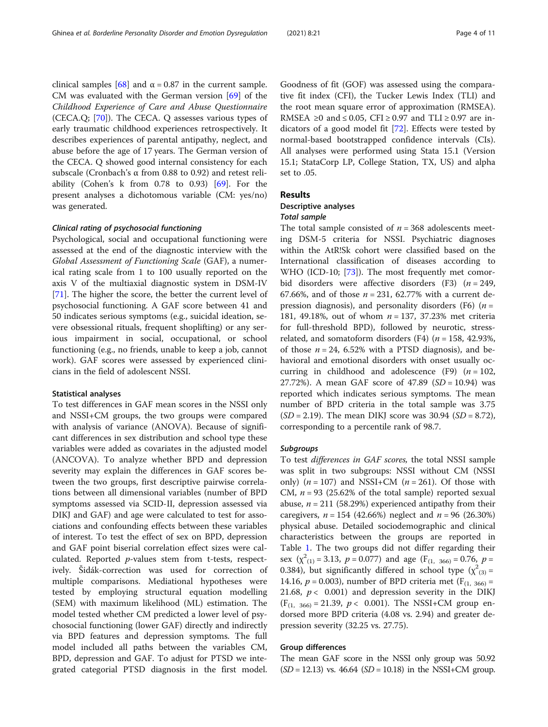clinical samples [[68\]](#page-10-0) and  $\alpha$  = 0.87 in the current sample. CM was evaluated with the German version [\[69\]](#page-10-0) of the Childhood Experience of Care and Abuse Questionnaire (CECA.Q; [\[70](#page-10-0)]). The CECA. Q assesses various types of early traumatic childhood experiences retrospectively. It describes experiences of parental antipathy, neglect, and abuse before the age of 17 years. The German version of the CECA. Q showed good internal consistency for each subscale (Cronbach's α from 0.88 to 0.92) and retest reliability (Cohen's k from 0.78 to 0.93) [[69](#page-10-0)]. For the present analyses a dichotomous variable (CM: yes/no) was generated.

# Clinical rating of psychosocial functioning

Psychological, social and occupational functioning were assessed at the end of the diagnostic interview with the Global Assessment of Functioning Scale (GAF), a numerical rating scale from 1 to 100 usually reported on the axis V of the multiaxial diagnostic system in DSM-IV [[71\]](#page-10-0). The higher the score, the better the current level of psychosocial functioning. A GAF score between 41 and 50 indicates serious symptoms (e.g., suicidal ideation, severe obsessional rituals, frequent shoplifting) or any serious impairment in social, occupational, or school functioning (e.g., no friends, unable to keep a job, cannot work). GAF scores were assessed by experienced clinicians in the field of adolescent NSSI.

# Statistical analyses

To test differences in GAF mean scores in the NSSI only and NSSI+CM groups, the two groups were compared with analysis of variance (ANOVA). Because of significant differences in sex distribution and school type these variables were added as covariates in the adjusted model (ANCOVA). To analyze whether BPD and depression severity may explain the differences in GAF scores between the two groups, first descriptive pairwise correlations between all dimensional variables (number of BPD symptoms assessed via SCID-II, depression assessed via DIKJ and GAF) and age were calculated to test for associations and confounding effects between these variables of interest. To test the effect of sex on BPD, depression and GAF point biserial correlation effect sizes were calculated. Reported p-values stem from t-tests, respectively. Šidák-correction was used for correction of multiple comparisons. Mediational hypotheses were tested by employing structural equation modelling (SEM) with maximum likelihood (ML) estimation. The model tested whether CM predicted a lower level of psychosocial functioning (lower GAF) directly and indirectly via BPD features and depression symptoms. The full model included all paths between the variables CM, BPD, depression and GAF. To adjust for PTSD we integrated categorial PTSD diagnosis in the first model. Goodness of fit (GOF) was assessed using the comparative fit index (CFI), the Tucker Lewis Index (TLI) and the root mean square error of approximation (RMSEA). RMSEA ≥0 and ≤ 0.05, CFI ≥ 0.97 and TLI ≥ 0.97 are indicators of a good model fit [[72\]](#page-10-0). Effects were tested by normal-based bootstrapped confidence intervals (CIs). All analyses were performed using Stata 15.1 (Version 15.1; StataCorp LP, College Station, TX, US) and alpha set to .05.

# Results

# Descriptive analyses

# Total sample

The total sample consisted of  $n = 368$  adolescents meeting DSM-5 criteria for NSSI. Psychiatric diagnoses within the AtR!Sk cohort were classified based on the International classification of diseases according to WHO (ICD-10; [[73\]](#page-10-0)). The most frequently met comorbid disorders were affective disorders  $(F3)$   $(n = 249,$ 67.66%, and of those  $n = 231$ , 62.77% with a current depression diagnosis), and personality disorders (F6)  $(n =$ 181, 49.18%, out of whom  $n = 137$ , 37.23% met criteria for full-threshold BPD), followed by neurotic, stressrelated, and somatoform disorders (F4)  $(n = 158, 42.93\%)$ of those  $n = 24$ , 6.52% with a PTSD diagnosis), and behavioral and emotional disorders with onset usually occurring in childhood and adolescence (F9)  $(n = 102,$ 27.72%). A mean GAF score of  $47.89$  (SD = 10.94) was reported which indicates serious symptoms. The mean number of BPD criteria in the total sample was 3.75  $(SD = 2.19)$ . The mean DIKJ score was 30.94  $(SD = 8.72)$ , corresponding to a percentile rank of 98.7.

# Subgroups

To test differences in GAF scores, the total NSSI sample was split in two subgroups: NSSI without CM (NSSI only)  $(n = 107)$  and NSSI+CM  $(n = 261)$ . Of those with CM,  $n = 93$  (25.62% of the total sample) reported sexual abuse,  $n = 211$  (58.29%) experienced antipathy from their caregivers,  $n = 154$  (42.66%) neglect and  $n = 96$  (26.30%) physical abuse. Detailed sociodemographic and clinical characteristics between the groups are reported in Table [1.](#page-4-0) The two groups did not differ regarding their sex  $(\chi^2_{(1)} = 3.13, p = 0.077)$  and age  $(F_{(1, 366)} = 0.76, p =$ 0.384), but significantly differed in school type ( $\chi^2_{(3)}$  = 14.16,  $p = 0.003$ ), number of BPD criteria met ( $F_{(1, 366)} =$ 21.68,  $p < 0.001$ ) and depression severity in the DIKJ  $(F_{(1, 366)} = 21.39, p < 0.001)$ . The NSSI+CM group endorsed more BPD criteria (4.08 vs. 2.94) and greater depression severity (32.25 vs. 27.75).

# Group differences

The mean GAF score in the NSSI only group was 50.92  $(SD = 12.13)$  vs. 46.64  $(SD = 10.18)$  in the NSSI+CM group.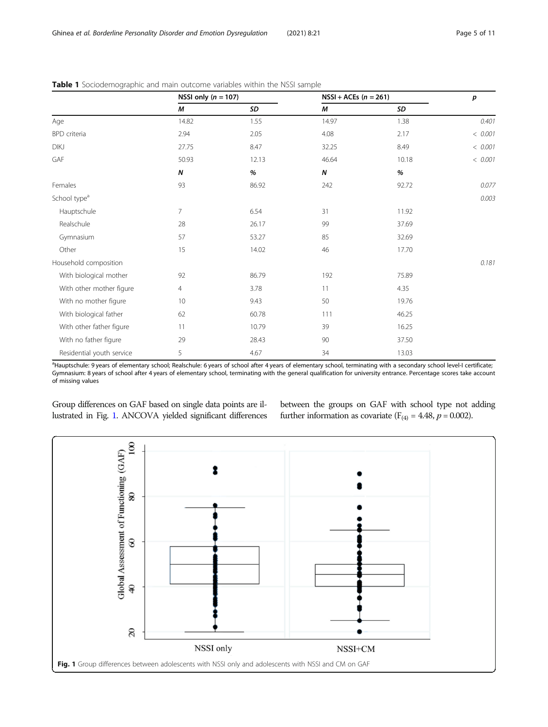|                           | NSSI only $(n = 107)$ |       | $NSSI + ACEs (n = 261)$ |       | p       |
|---------------------------|-----------------------|-------|-------------------------|-------|---------|
|                           | М                     | SD    | М                       | SD    |         |
| Age                       | 14.82                 | 1.55  | 14.97                   | 1.38  | 0.401   |
| BPD criteria              | 2.94                  | 2.05  | 4.08                    | 2.17  | < 0.001 |
| DIKJ                      | 27.75                 | 8.47  | 32.25                   | 8.49  | < 0.001 |
| GAF                       | 50.93                 | 12.13 | 46.64                   | 10.18 | < 0.001 |
|                           | Ν                     | %     | N                       | $\%$  |         |
| Females                   | 93                    | 86.92 | 242                     | 92.72 | 0.077   |
| School type <sup>a</sup>  |                       |       |                         |       | 0.003   |
| Hauptschule               | $\overline{7}$        | 6.54  | 31                      | 11.92 |         |
| Realschule                | 28                    | 26.17 | 99                      | 37.69 |         |
| Gymnasium                 | 57                    | 53.27 | 85                      | 32.69 |         |
| Other                     | 15                    | 14.02 | 46                      | 17.70 |         |
| Household composition     |                       |       |                         |       | 0.181   |
| With biological mother    | 92                    | 86.79 | 192                     | 75.89 |         |
| With other mother figure  | $\overline{4}$        | 3.78  | 11                      | 4.35  |         |
| With no mother figure     | 10                    | 9.43  | 50                      | 19.76 |         |
| With biological father    | 62                    | 60.78 | 111                     | 46.25 |         |
| With other father figure  | 11                    | 10.79 | 39                      | 16.25 |         |
| With no father figure     | 29                    | 28.43 | 90                      | 37.50 |         |
| Residential youth service | 5                     | 4.67  | 34                      | 13.03 |         |

# <span id="page-4-0"></span>**Table 1** Sociodemographic and main outcome variables within the NSSI sample

a Hauptschule: 9 years of elementary school; Realschule: 6 years of school after 4 years of elementary school, terminating with a secondary school level-I certificate; Gymnasium: 8 years of school after 4 years of elementary school, terminating with the general qualification for university entrance. Percentage scores take account of missing values

Group differences on GAF based on single data points are illustrated in Fig. 1. ANCOVA yielded significant differences between the groups on GAF with school type not adding further information as covariate ( $F_{(4)} = 4.48$ ,  $p = 0.002$ ).

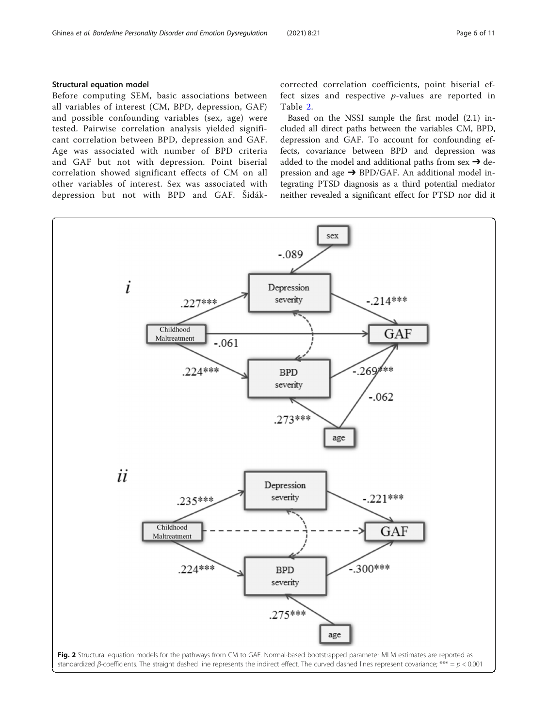# <span id="page-5-0"></span>Structural equation model

Before computing SEM, basic associations between all variables of interest (CM, BPD, depression, GAF) and possible confounding variables (sex, age) were tested. Pairwise correlation analysis yielded significant correlation between BPD, depression and GAF. Age was associated with number of BPD criteria and GAF but not with depression. Point biserial correlation showed significant effects of CM on all other variables of interest. Sex was associated with depression but not with BPD and GAF. Šidákcorrected correlation coefficients, point biserial effect sizes and respective p-values are reported in Table [2](#page-6-0).

Based on the NSSI sample the first model (2.1) included all direct paths between the variables CM, BPD, depression and GAF. To account for confounding effects, covariance between BPD and depression was added to the model and additional paths from sex  $\rightarrow$  depression and age  $\rightarrow$  BPD/GAF. An additional model integrating PTSD diagnosis as a third potential mediator neither revealed a significant effect for PTSD nor did it

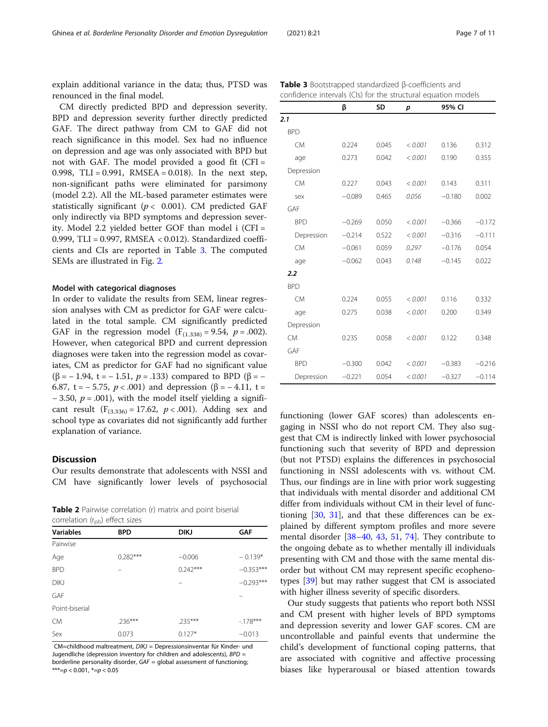<span id="page-6-0"></span>explain additional variance in the data; thus, PTSD was renounced in the final model.

CM directly predicted BPD and depression severity. BPD and depression severity further directly predicted GAF. The direct pathway from CM to GAF did not reach significance in this model. Sex had no influence on depression and age was only associated with BPD but not with GAF. The model provided a good fit  $(CFI =$ 0.998, TLI =  $0.991$ , RMSEA =  $0.018$ ). In the next step, non-significant paths were eliminated for parsimony (model 2.2). All the ML-based parameter estimates were statistically significant ( $p < 0.001$ ). CM predicted GAF only indirectly via BPD symptoms and depression severity. Model 2.2 yielded better GOF than model i (CFI = 0.999, TLI = 0.997, RMSEA < 0.012). Standardized coefficients and CIs are reported in Table 3. The computed SEMs are illustrated in Fig. [2](#page-5-0).

# Model with categorical diagnoses

In order to validate the results from SEM, linear regression analyses with CM as predictor for GAF were calculated in the total sample. CM significantly predicted GAF in the regression model  $(F_{(1,338)} = 9.54, p = .002)$ . However, when categorical BPD and current depression diagnoses were taken into the regression model as covariates, CM as predictor for GAF had no significant value ( $\beta$  = -1.94, t = -1.51, p = .133) compared to BPD ( $\beta$  = -6.87, t =  $-$  5.75,  $p < .001$ ) and depression ( $\beta$  =  $-$  4.11, t =  $-3.50, p = .001$ ), with the model itself yielding a significant result  $(F_{(3,336)} = 17.62, p < .001)$ . Adding sex and school type as covariates did not significantly add further explanation of variance.

# Discussion

Our results demonstrate that adolescents with NSSI and CM have significantly lower levels of psychosocial

Table 2 Pairwise correlation (r) matrix and point biserial correlation  $(r_{\rm ob})$  effect sizes

| $-$ pp.          |            |             |             |
|------------------|------------|-------------|-------------|
| <b>Variables</b> | <b>BPD</b> | <b>DIKJ</b> | <b>GAF</b>  |
| Pairwise         |            |             |             |
| Age              | $0.282***$ | $-0.006$    | $-0.139*$   |
| <b>BPD</b>       |            | $0.242***$  | $-0.353***$ |
| <b>DIKJ</b>      |            |             | $-0.293***$ |
| GAF              |            |             |             |
| Point-biserial   |            |             |             |
| <b>CM</b>        | $.236***$  | $.235***$   | $-178***$   |
| Sex              | 0.073      | $0.127*$    | $-0.013$    |

CM=childhood maltreatment, DIKJ = Depressionsinventar für Kinder- und Jugendliche (depression inventory for children and adolescents), BPD = borderline personality disorder,  $GAF =$  global assessment of functioning  $***=p$  < 0.001,  $*=p$  < 0.05

| confidence intervals (CIs) for the structural equation models |          |       |         |          |        |
|---------------------------------------------------------------|----------|-------|---------|----------|--------|
|                                                               | β        | SD    | р       | 95% CI   |        |
| 2.1                                                           |          |       |         |          |        |
| <b>BPD</b>                                                    |          |       |         |          |        |
| <b>CM</b>                                                     | 0.224    | 0.045 | < 0.001 | 0.136    | 0.312  |
| age                                                           | 0.273    | 0.042 | < 0.001 | 0.190    | 0.355  |
| Depression                                                    |          |       |         |          |        |
| <b>CM</b>                                                     | 0.227    | 0.043 | < 0.001 | 0.143    | 0.311  |
| sex                                                           | $-0.089$ | 0.465 | 0.056   | $-0.180$ | 0.002  |
| GAF                                                           |          |       |         |          |        |
| <b>BPD</b>                                                    | $-0.269$ | 0.050 | < 0.001 | $-0.366$ | $-0.1$ |

Table 3 Bootstrapped standardized β-coefficients and

| BPD        |          |       |         |          |          |
|------------|----------|-------|---------|----------|----------|
| <b>CM</b>  | 0.224    | 0.045 | < 0.001 | 0.136    | 0.312    |
| age        | 0.273    | 0.042 | < 0.001 | 0.190    | 0.355    |
| Depression |          |       |         |          |          |
| <b>CM</b>  | 0.227    | 0.043 | < 0.001 | 0.143    | 0.311    |
| sex        | $-0.089$ | 0.465 | 0.056   | $-0.180$ | 0.002    |
| GAF        |          |       |         |          |          |
| <b>BPD</b> | $-0.269$ | 0.050 | < 0.001 | $-0.366$ | $-0.172$ |
| Depression | $-0.214$ | 0.522 | < 0.001 | $-0.316$ | $-0.111$ |
| <b>CM</b>  | $-0.061$ | 0.059 | 0.297   | $-0.176$ | 0.054    |
| age        | $-0.062$ | 0.043 | 0.148   | $-0.145$ | 0.022    |
| 2.2        |          |       |         |          |          |
| <b>BPD</b> |          |       |         |          |          |
| <b>CM</b>  | 0.224    | 0.055 | < 0.001 | 0.116    | 0.332    |
| age        | 0.275    | 0.038 | < 0.001 | 0.200    | 0.349    |
| Depression |          |       |         |          |          |
| <b>CM</b>  | 0.235    | 0.058 | < 0.001 | 0.122    | 0.348    |
| GAF        |          |       |         |          |          |

functioning (lower GAF scores) than adolescents engaging in NSSI who do not report CM. They also suggest that CM is indirectly linked with lower psychosocial functioning such that severity of BPD and depression (but not PTSD) explains the differences in psychosocial functioning in NSSI adolescents with vs. without CM. Thus, our findings are in line with prior work suggesting that individuals with mental disorder and additional CM differ from individuals without CM in their level of functioning [[30](#page-9-0), [31\]](#page-9-0), and that these differences can be explained by different symptom profiles and more severe mental disorder [\[38](#page-9-0)–[40,](#page-9-0) [43,](#page-9-0) [51,](#page-9-0) [74](#page-10-0)]. They contribute to the ongoing debate as to whether mentally ill individuals presenting with CM and those with the same mental disorder but without CM may represent specific ecophenotypes [\[39](#page-9-0)] but may rather suggest that CM is associated with higher illness severity of specific disorders.

BPD <sup>−</sup>0.300 0.042 < 0.001 <sup>−</sup>0.383 <sup>−</sup>0.216 Depression <sup>−</sup>0.221 0.054 < 0.001 <sup>−</sup>0.327 <sup>−</sup>0.114

Our study suggests that patients who report both NSSI and CM present with higher levels of BPD symptoms and depression severity and lower GAF scores. CM are uncontrollable and painful events that undermine the child's development of functional coping patterns, that are associated with cognitive and affective processing biases like hyperarousal or biased attention towards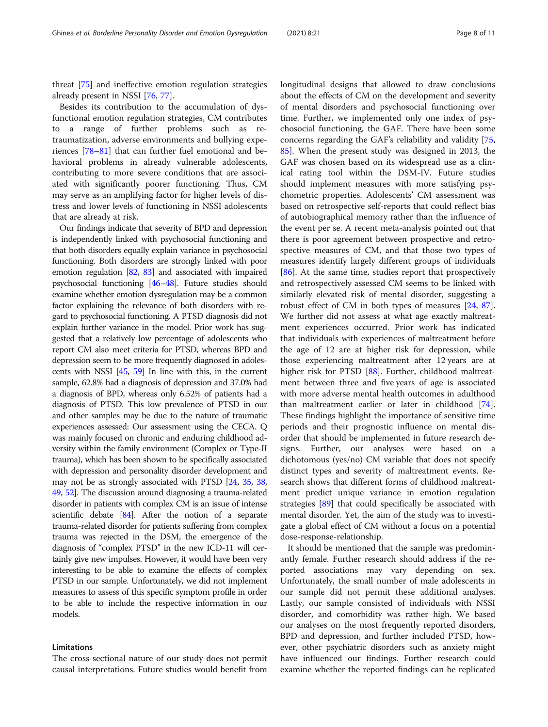Besides its contribution to the accumulation of dysfunctional emotion regulation strategies, CM contributes to a range of further problems such as retraumatization, adverse environments and bullying experiences [\[78](#page-10-0)–[81\]](#page-10-0) that can further fuel emotional and behavioral problems in already vulnerable adolescents, contributing to more severe conditions that are associated with significantly poorer functioning. Thus, CM may serve as an amplifying factor for higher levels of distress and lower levels of functioning in NSSI adolescents that are already at risk.

Our findings indicate that severity of BPD and depression is independently linked with psychosocial functioning and that both disorders equally explain variance in psychosocial functioning. Both disorders are strongly linked with poor emotion regulation [\[82](#page-10-0), [83](#page-10-0)] and associated with impaired psychosocial functioning [[46](#page-9-0)–[48](#page-9-0)]. Future studies should examine whether emotion dysregulation may be a common factor explaining the relevance of both disorders with regard to psychosocial functioning. A PTSD diagnosis did not explain further variance in the model. Prior work has suggested that a relatively low percentage of adolescents who report CM also meet criteria for PTSD, whereas BPD and depression seem to be more frequently diagnosed in adolescents with NSSI [\[45,](#page-9-0) [59](#page-10-0)] In line with this, in the current sample, 62.8% had a diagnosis of depression and 37.0% had a diagnosis of BPD, whereas only 6.52% of patients had a diagnosis of PTSD. This low prevalence of PTSD in our and other samples may be due to the nature of traumatic experiences assessed: Our assessment using the CECA. Q was mainly focused on chronic and enduring childhood adversity within the family environment (Complex or Type-II trauma), which has been shown to be specifically associated with depression and personality disorder development and may not be as strongly associated with PTSD [\[24,](#page-9-0) [35](#page-9-0), [38](#page-9-0), [49](#page-9-0), [52](#page-9-0)]. The discussion around diagnosing a trauma-related disorder in patients with complex CM is an issue of intense scientific debate [\[84\]](#page-10-0). After the notion of a separate trauma-related disorder for patients suffering from complex trauma was rejected in the DSM, the emergence of the diagnosis of "complex PTSD" in the new ICD-11 will certainly give new impulses. However, it would have been very interesting to be able to examine the effects of complex PTSD in our sample. Unfortunately, we did not implement measures to assess of this specific symptom profile in order to be able to include the respective information in our models.

# Limitations

The cross-sectional nature of our study does not permit causal interpretations. Future studies would benefit from longitudinal designs that allowed to draw conclusions about the effects of CM on the development and severity of mental disorders and psychosocial functioning over time. Further, we implemented only one index of psychosocial functioning, the GAF. There have been some concerns regarding the GAF's reliability and validity [[75](#page-10-0), [85\]](#page-10-0). When the present study was designed in 2013, the GAF was chosen based on its widespread use as a clinical rating tool within the DSM-IV. Future studies should implement measures with more satisfying psychometric properties. Adolescents' CM assessment was based on retrospective self-reports that could reflect bias of autobiographical memory rather than the influence of the event per se. A recent meta-analysis pointed out that there is poor agreement between prospective and retrospective measures of CM, and that those two types of measures identify largely different groups of individuals [[86\]](#page-10-0). At the same time, studies report that prospectively and retrospectively assessed CM seems to be linked with similarly elevated risk of mental disorder, suggesting a robust effect of CM in both types of measures [[24](#page-9-0), [87](#page-10-0)]. We further did not assess at what age exactly maltreatment experiences occurred. Prior work has indicated that individuals with experiences of maltreatment before the age of 12 are at higher risk for depression, while those experiencing maltreatment after 12 years are at higher risk for PTSD [\[88](#page-10-0)]. Further, childhood maltreatment between three and five years of age is associated with more adverse mental health outcomes in adulthood than maltreatment earlier or later in childhood [\[74](#page-10-0)]. These findings highlight the importance of sensitive time periods and their prognostic influence on mental disorder that should be implemented in future research designs. Further, our analyses were based on a dichotomous (yes/no) CM variable that does not specify distinct types and severity of maltreatment events. Research shows that different forms of childhood maltreatment predict unique variance in emotion regulation strategies [[89\]](#page-10-0) that could specifically be associated with mental disorder. Yet, the aim of the study was to investigate a global effect of CM without a focus on a potential dose-response-relationship.

It should be mentioned that the sample was predominantly female. Further research should address if the reported associations may vary depending on sex. Unfortunately, the small number of male adolescents in our sample did not permit these additional analyses. Lastly, our sample consisted of individuals with NSSI disorder, and comorbidity was rather high. We based our analyses on the most frequently reported disorders, BPD and depression, and further included PTSD, however, other psychiatric disorders such as anxiety might have influenced our findings. Further research could examine whether the reported findings can be replicated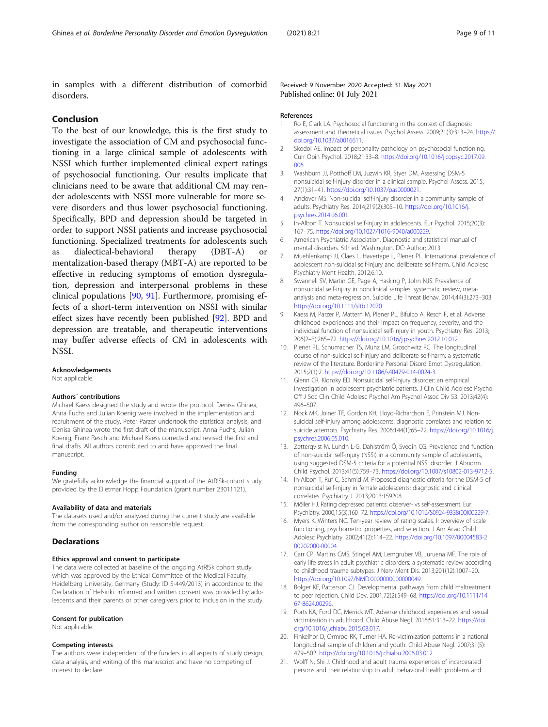<span id="page-8-0"></span>in samples with a different distribution of comorbid

Received: 9 November 2020 Accepted: 31 May 2021 Published online: 01 July 2021

# Conclusion

disorders.

To the best of our knowledge, this is the first study to investigate the association of CM and psychosocial functioning in a large clinical sample of adolescents with NSSI which further implemented clinical expert ratings of psychosocial functioning. Our results implicate that clinicians need to be aware that additional CM may render adolescents with NSSI more vulnerable for more severe disorders and thus lower psychosocial functioning. Specifically, BPD and depression should be targeted in order to support NSSI patients and increase psychosocial functioning. Specialized treatments for adolescents such as dialectical-behavioral therapy (DBT-A) or mentalization-based therapy (MBT-A) are reported to be effective in reducing symptoms of emotion dysregulation, depression and interpersonal problems in these clinical populations [\[90](#page-10-0), [91\]](#page-10-0). Furthermore, promising effects of a short-term intervention on NSSI with similar effect sizes have recently been published [\[92\]](#page-10-0). BPD and depression are treatable, and therapeutic interventions may buffer adverse effects of CM in adolescents with NSSI.

# Acknowledgements

Not applicable.

# Authors´ contributions

Michael Kaess designed the study and wrote the protocol. Denisa Ghinea, Anna Fuchs and Julian Koenig were involved in the implementation and recruitment of the study. Peter Parzer undertook the statistical analysis, and Denisa Ghinea wrote the first draft of the manuscript. Anna Fuchs, Julian Koenig, Franz Resch and Michael Kaess corrected and revised the first and final drafts. All authors contributed to and have approved the final manuscript.

# Funding

We gratefully acknowledge the financial support of the AtR!Sk-cohort study provided by the Dietmar Hopp Foundation (grant number 23011121).

# Availability of data and materials

The datasets used and/or analyzed during the current study are available from the corresponding author on reasonable request.

# **Declarations**

# Ethics approval and consent to participate

The data were collected at baseline of the ongoing AtR!Sk cohort study, which was approved by the Ethical Committee of the Medical Faculty, Heidelberg University, Germany (Study: ID S-449/2013) in accordance to the Declaration of Helsinki. Informed and written consent was provided by adolescents and their parents or other caregivers prior to inclusion in the study.

# Consent for publication

Not applicable.

# Competing interests

The authors were independent of the funders in all aspects of study design, data analysis, and writing of this manuscript and have no competing of interest to declare.

### References

- 1. Ro E, Clark LA. Psychosocial functioning in the context of diagnosis: assessment and theoretical issues. Psychol Assess. 2009;21(3):313–24. [https://](https://doi.org/10.1037/a0016611) [doi.org/10.1037/a0016611](https://doi.org/10.1037/a0016611).
- 2. Skodol AE. Impact of personality pathology on psychosocial functioning. Curr Opin Psychol. 2018;21:33–8. [https://doi.org/10.1016/j.copsyc.2017.09.](https://doi.org/10.1016/j.copsyc.2017.09.006) [006.](https://doi.org/10.1016/j.copsyc.2017.09.006)
- 3. Washburn JJ, Potthoff LM, Juzwin KR, Styer DM. Assessing DSM-5 nonsuicidal self-injury disorder in a clinical sample. Psychol Assess. 2015; 27(1):31–41. <https://doi.org/10.1037/pas0000021>.
- 4. Andover MS. Non-suicidal self-injury disorder in a community sample of adults. Psychiatry Res. 2014;219(2):305–10. [https://doi.org/10.1016/j.](https://doi.org/10.1016/j.psychres.2014.06.001) [psychres.2014.06.001.](https://doi.org/10.1016/j.psychres.2014.06.001)
- 5. In-Albon T. Nonsuicidal self-injury in adolescents. Eur Psychol. 2015;20(3): 167–75. <https://doi.org/10.1027/1016-9040/a000229>.
- 6. American Psychiatric Association. Diagnostic and statistical manual of mental disorders. 5th ed. Washington, DC: Author; 2013.
- 7. Muehlenkamp JJ, Claes L, Havertape L, Plener PL. International prevalence of adolescent non-suicidal self-injury and deliberate self-harm. Child Adolesc Psychiatry Ment Health. 2012;6:10.
- 8. Swannell SV, Martin GE, Page A, Hasking P, John NJS. Prevalence of nonsuicidal self-injury in nonclinical samples: systematic review, metaanalysis and meta-regression. Suicide Life Threat Behav. 2014;44(3):273–303. <https://doi.org/10.1111/sltb.12070>.
- 9. Kaess M, Parzer P, Mattern M, Plener PL, Bifulco A, Resch F, et al. Adverse childhood experiences and their impact on frequency, severity, and the individual function of nonsuicidal self-injury in youth. Psychiatry Res. 2013; 206(2–3):265–72. [https://doi.org/10.1016/j.psychres.2012.10.012.](https://doi.org/10.1016/j.psychres.2012.10.012)
- 10. Plener PL, Schumacher TS, Munz LM, Groschwitz RC. The longitudinal course of non-suicidal self-injury and deliberate self-harm: a systematic review of the literature. Borderline Personal Disord Emot Dysregulation. 2015;2(1):2. <https://doi.org/10.1186/s40479-014-0024-3>.
- 11. Glenn CR, Klonsky ED. Nonsuicidal self-injury disorder: an empirical investigation in adolescent psychiatric patients. J Clin Child Adolesc Psychol Off J Soc Clin Child Adolesc Psychol Am Psychol Assoc Div 53. 2013;42(4): 496–507.
- 12. Nock MK, Joiner TE, Gordon KH, Lloyd-Richardson E, Prinstein MJ. Nonsuicidal self-injury among adolescents: diagnostic correlates and relation to suicide attempts. Psychiatry Res. 2006;144(1):65–72. [https://doi.org/10.1016/j.](https://doi.org/10.1016/j.psychres.2006.05.010) [psychres.2006.05.010.](https://doi.org/10.1016/j.psychres.2006.05.010)
- 13. Zetterqvist M, Lundh L-G, Dahlström Ö, Svedin CG. Prevalence and function of non-suicidal self-injury (NSSI) in a community sample of adolescents, using suggested DSM-5 criteria for a potential NSSI disorder. J Abnorm Child Psychol. 2013;41(5):759–73. [https://doi.org/10.1007/s10802-013-9712-5.](https://doi.org/10.1007/s10802-013-9712-5)
- 14. In-Albon T, Ruf C, Schmid M. Proposed diagnostic criteria for the DSM-5 of nonsuicidal self-injury in female adolescents: diagnostic and clinical correlates. Psychiatry J. 2013;2013:159208.
- 15. Möller HJ. Rating depressed patients: observer- vs self-assessment. Eur Psychiatry. 2000;15(3):160–72. [https://doi.org/10.1016/S0924-9338\(00\)00229-7.](https://doi.org/10.1016/S0924-9338(00)00229-7)
- 16. Myers K, Winters NC. Ten-year review of rating scales. I: overview of scale functioning, psychometric properties, and selection. J Am Acad Child Adolesc Psychiatry. 2002;41(2):114–22. [https://doi.org/10.1097/00004583-2](https://doi.org/10.1097/00004583-200202000-00004) [00202000-00004](https://doi.org/10.1097/00004583-200202000-00004).
- 17. Carr CP, Martins CMS, Stingel AM, Lemgruber VB, Juruena MF. The role of early life stress in adult psychiatric disorders: a systematic review according to childhood trauma subtypes. J Nerv Ment Dis. 2013;201(12):1007–20. <https://doi.org/10.1097/NMD.0000000000000049>.
- 18. Bolger KE, Patterson CJ. Developmental pathways from child maltreatment to peer rejection. Child Dev. 2001;72(2):549–68. [https://doi.org/10.1111/14](https://doi.org/10.1111/1467-8624.00296) [67-8624.00296.](https://doi.org/10.1111/1467-8624.00296)
- 19. Ports KA, Ford DC, Merrick MT. Adverse childhood experiences and sexual victimization in adulthood. Child Abuse Negl. 2016;51:313–22. [https://doi.](https://doi.org/10.1016/j.chiabu.2015.08.017) [org/10.1016/j.chiabu.2015.08.017](https://doi.org/10.1016/j.chiabu.2015.08.017).
- 20. Finkelhor D, Ormrod RK, Turner HA. Re-victimization patterns in a national longitudinal sample of children and youth. Child Abuse Negl. 2007;31(5): 479–502. <https://doi.org/10.1016/j.chiabu.2006.03.012>.
- 21. Wolff N, Shi J. Childhood and adult trauma experiences of incarcerated persons and their relationship to adult behavioral health problems and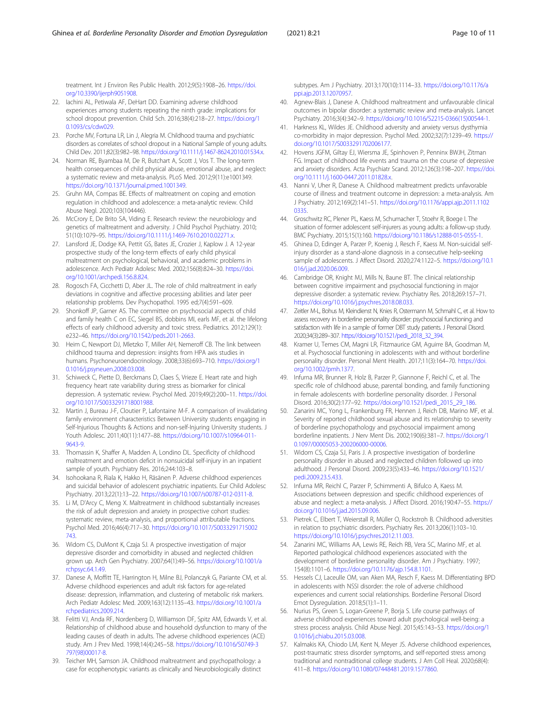<span id="page-9-0"></span>treatment. Int J Environ Res Public Health. 2012;9(5):1908–26. [https://doi.](https://doi.org/10.3390/ijerph9051908) [org/10.3390/ijerph9051908.](https://doi.org/10.3390/ijerph9051908)

- 22. Iachini AL, Petiwala AF, DeHart DD. Examining adverse childhood experiences among students repeating the ninth grade: implications for school dropout prevention. Child Sch. 2016;38(4):218–27. [https://doi.org/1](https://doi.org/10.1093/cs/cdw029) [0.1093/cs/cdw029.](https://doi.org/10.1093/cs/cdw029)
- 23. Porche MV, Fortuna LR, Lin J, Alegria M. Childhood trauma and psychiatric disorders as correlates of school dropout in a National Sample of young adults. Child Dev. 2011;82(3):982–98. <https://doi.org/10.1111/j.1467-8624.2010.01534.x>.
- 24. Norman RE, Byambaa M, De R, Butchart A, Scott J, Vos T. The long-term health consequences of child physical abuse, emotional abuse, and neglect: a systematic review and meta-analysis. PLoS Med. 2012;9(11):e1001349. [https://doi.org/10.1371/journal.pmed.1001349.](https://doi.org/10.1371/journal.pmed.1001349)
- 25. Gruhn MA, Compas BE. Effects of maltreatment on coping and emotion regulation in childhood and adolescence: a meta-analytic review. Child Abuse Negl. 2020;103(104446).
- 26. McCrory E, De Brito SA, Viding E. Research review: the neurobiology and genetics of maltreatment and adversity. J Child Psychol Psychiatry. 2010; 51(10):1079–95. <https://doi.org/10.1111/j.1469-7610.2010.02271.x>.
- 27. Lansford JE, Dodge KA, Pettit GS, Bates JE, Crozier J, Kaplow J. A 12-year prospective study of the long-term effects of early child physical maltreatment on psychological, behavioral, and academic problems in adolescence. Arch Pediatr Adolesc Med. 2002;156(8):824–30. [https://doi.](https://doi.org/10.1001/archpedi.156.8.824) [org/10.1001/archpedi.156.8.824](https://doi.org/10.1001/archpedi.156.8.824).
- 28. Rogosch FA, Cicchetti D, Aber JL. The role of child maltreatment in early deviations in cognitive and affective processing abilities and later peer relationship problems. Dev Psychopathol. 1995 ed;7(4):591–609.
- 29. Shonkoff JP, Garner AS. The committee on psychosocial aspects of child and family health C on EC, Siegel BS, dobbins MI, earls MF, et al. the lifelong effects of early childhood adversity and toxic stress. Pediatrics. 2012;129(1): e232–46. [https://doi.org/10.1542/peds.2011-2663.](https://doi.org/10.1542/peds.2011-2663)
- 30. Heim C, Newport DJ, Mletzko T, Miller AH, Nemeroff CB. The link between childhood trauma and depression: insights from HPA axis studies in humans. Psychoneuroendocrinology. 2008;33(6):693–710. [https://doi.org/1](https://doi.org/10.1016/j.psyneuen.2008.03.008) [0.1016/j.psyneuen.2008.03.008.](https://doi.org/10.1016/j.psyneuen.2008.03.008)
- 31. Schiweck C, Piette D, Berckmans D, Claes S, Vrieze E. Heart rate and high frequency heart rate variability during stress as biomarker for clinical depression. A systematic review. Psychol Med. 2019;49(2):200–11. [https://doi.](https://doi.org/10.1017/S0033291718001988) [org/10.1017/S0033291718001988.](https://doi.org/10.1017/S0033291718001988)
- 32. Martin J, Bureau J-F, Cloutier P, Lafontaine M-F. A comparison of invalidating family environment characteristics Between University students engaging in Self-Injurious Thoughts & Actions and non-self-Injuring University students. J Youth Adolesc. 2011;40(11):1477–88. [https://doi.org/10.1007/s10964-011-](https://doi.org/10.1007/s10964-011-9643-9) [9643-9.](https://doi.org/10.1007/s10964-011-9643-9)
- 33. Thomassin K, Shaffer A, Madden A, Londino DL. Specificity of childhood maltreatment and emotion deficit in nonsuicidal self-injury in an inpatient sample of youth. Psychiatry Res. 2016;244:103–8.
- 34. Isohookana R, Riala K, Hakko H, Räsänen P. Adverse childhood experiences and suicidal behavior of adolescent psychiatric inpatients. Eur Child Adolesc Psychiatry. 2013;22(1):13–22. <https://doi.org/10.1007/s00787-012-0311-8>.
- 35. Li M, D'Arcy C, Meng X. Maltreatment in childhood substantially increases the risk of adult depression and anxiety in prospective cohort studies: systematic review, meta-analysis, and proportional attributable fractions. Psychol Med. 2016;46(4):717–30. [https://doi.org/10.1017/S0033291715002](https://doi.org/10.1017/S0033291715002743) [743.](https://doi.org/10.1017/S0033291715002743)
- 36. Widom CS, DuMont K, Czaja SJ. A prospective investigation of major depressive disorder and comorbidity in abused and neglected children grown up. Arch Gen Psychiatry. 2007;64(1):49–56. [https://doi.org/10.1001/a](https://doi.org/10.1001/archpsyc.64.1.49) [rchpsyc.64.1.49.](https://doi.org/10.1001/archpsyc.64.1.49)
- 37. Danese A, Moffitt TE, Harrington H, Milne BJ, Polanczyk G, Pariante CM, et al. Adverse childhood experiences and adult risk factors for age-related disease: depression, inflammation, and clustering of metabolic risk markers. Arch Pediatr Adolesc Med. 2009;163(12):1135–43. [https://doi.org/10.1001/a](https://doi.org/10.1001/archpediatrics.2009.214) [rchpediatrics.2009.214](https://doi.org/10.1001/archpediatrics.2009.214).
- 38. Felitti VJ, Anda RF, Nordenberg D, Williamson DF, Spitz AM, Edwards V, et al. Relationship of childhood abuse and household dysfunction to many of the leading causes of death in adults. The adverse childhood experiences (ACE) study. Am J Prev Med. 1998;14(4):245–58. [https://doi.org/10.1016/S0749-3](https://doi.org/10.1016/S0749-3797(98)00017-8) [797\(98\)00017-8](https://doi.org/10.1016/S0749-3797(98)00017-8).
- 39. Teicher MH, Samson JA. Childhood maltreatment and psychopathology: a case for ecophenotypic variants as clinically and Neurobiologically distinct

subtypes. Am J Psychiatry. 2013;170(10):1114–33. [https://doi.org/10.1176/a](https://doi.org/10.1176/appi.ajp.2013.12070957) [ppi.ajp.2013.12070957.](https://doi.org/10.1176/appi.ajp.2013.12070957)

- 40. Agnew-Blais J, Danese A. Childhood maltreatment and unfavourable clinical outcomes in bipolar disorder: a systematic review and meta-analysis. Lancet Psychiatry. 2016;3(4):342–9. [https://doi.org/10.1016/S2215-0366\(15\)00544-1](https://doi.org/10.1016/S2215-0366(15)00544-1).
- 41. Harkness KL, Wildes JE. Childhood adversity and anxiety versus dysthymia co-morbidity in major depression. Psychol Med. 2002;32(7):1239–49. [https://](https://doi.org/10.1017/S0033291702006177) [doi.org/10.1017/S0033291702006177](https://doi.org/10.1017/S0033291702006177).
- 42. Hovens JGFM, Giltay EJ, Wiersma JE, Spinhoven P, Penninx BWJH, Zitman FG. Impact of childhood life events and trauma on the course of depressive and anxiety disorders. Acta Psychiatr Scand. 2012;126(3):198–207. [https://doi.](https://doi.org/10.1111/j.1600-0447.2011.01828.x) [org/10.1111/j.1600-0447.2011.01828.x](https://doi.org/10.1111/j.1600-0447.2011.01828.x).
- 43. Nanni V, Uher R, Danese A. Childhood maltreatment predicts unfavorable course of illness and treatment outcome in depression: a meta-analysis. Am J Psychiatry. 2012;169(2):141–51. [https://doi.org/10.1176/appi.ajp.2011.1102](https://doi.org/10.1176/appi.ajp.2011.11020335) [0335](https://doi.org/10.1176/appi.ajp.2011.11020335).
- 44. Groschwitz RC, Plener PL, Kaess M, Schumacher T, Stoehr R, Boege I. The situation of former adolescent self-injurers as young adults: a follow-up study. BMC Psychiatry. 2015;15(1):160. <https://doi.org/10.1186/s12888-015-0555-1>.
- 45. Ghinea D, Edinger A, Parzer P, Koenig J, Resch F, Kaess M. Non-suicidal selfinjury disorder as a stand-alone diagnosis in a consecutive help-seeking sample of adolescents. J Affect Disord. 2020;274:1122–5. [https://doi.org/10.1](https://doi.org/10.1016/j.jad.2020.06.009) [016/j.jad.2020.06.009.](https://doi.org/10.1016/j.jad.2020.06.009)
- 46. Cambridge OR, Knight MJ, Mills N, Baune BT. The clinical relationship between cognitive impairment and psychosocial functioning in major depressive disorder: a systematic review. Psychiatry Res. 2018;269:157–71. <https://doi.org/10.1016/j.psychres.2018.08.033>.
- 47. Zeitler M-L, Bohus M, Kleindienst N, Knies R, Ostermann M, Schmahl C, et al. How to assess recovery in borderline personality disorder: psychosocial functioning and satisfaction with life in a sample of former DBT study patients. J Personal Disord. 2020;34(3):289–307. [https://doi.org/10.1521/pedi\\_2018\\_32\\_394.](https://doi.org/10.1521/pedi_2018_32_394)
- 48. Kramer U, Temes CM, Magni LR, Fitzmaurice GM, Aguirre BA, Goodman M, et al. Psychosocial functioning in adolescents with and without borderline personality disorder. Personal Ment Health. 2017;11(3):164–70. [https://doi.](https://doi.org/10.1002/pmh.1377) [org/10.1002/pmh.1377](https://doi.org/10.1002/pmh.1377).
- 49. Infurna MR, Brunner R, Holz B, Parzer P, Giannone F, Reichl C, et al. The specific role of childhood abuse, parental bonding, and family functioning in female adolescents with borderline personality disorder. J Personal Disord. 2016;30(2):177–92. [https://doi.org/10.1521/pedi\\_2015\\_29\\_186.](https://doi.org/10.1521/pedi_2015_29_186)
- 50. Zanarini MC, Yong L, Frankenburg FR, Hennen J, Reich DB, Marino MF, et al. Severity of reported childhood sexual abuse and its relationship to severity of borderline psychopathology and psychosocial impairment among borderline inpatients. J Nerv Ment Dis. 2002;190(6):381–7. [https://doi.org/1](https://doi.org/10.1097/00005053-200206000-00006) [0.1097/00005053-200206000-00006.](https://doi.org/10.1097/00005053-200206000-00006)
- 51. Widom CS, Czaja SJ, Paris J. A prospective investigation of borderline personality disorder in abused and neglected children followed up into adulthood. J Personal Disord. 2009;23(5):433–46. [https://doi.org/10.1521/](https://doi.org/10.1521/pedi.2009.23.5.433) [pedi.2009.23.5.433](https://doi.org/10.1521/pedi.2009.23.5.433).
- 52. Infurna MR, Reichl C, Parzer P, Schimmenti A, Bifulco A, Kaess M. Associations between depression and specific childhood experiences of abuse and neglect: a meta-analysis. J Affect Disord. 2016;190:47–55. [https://](https://doi.org/10.1016/j.jad.2015.09.006) [doi.org/10.1016/j.jad.2015.09.006.](https://doi.org/10.1016/j.jad.2015.09.006)
- 53. Pietrek C, Elbert T, Weierstall R, Müller O, Rockstroh B. Childhood adversities in relation to psychiatric disorders. Psychiatry Res. 2013;206(1):103–10. <https://doi.org/10.1016/j.psychres.2012.11.003>.
- 54. Zanarini MC, Williams AA, Lewis RE, Reich RB, Vera SC, Marino MF, et al. Reported pathological childhood experiences associated with the development of borderline personality disorder. Am J Psychiatry. 1997; 154(8):1101–6. [https://doi.org/10.1176/ajp.154.8.1101.](https://doi.org/10.1176/ajp.154.8.1101)
- 55. Hessels CJ, Laceulle OM, van Aken MA, Resch F, Kaess M. Differentiating BPD in adolescents with NSSI disorder: the role of adverse childhood experiences and current social relationships. Borderline Personal Disord Emot Dysregulation. 2018;5(1):1–11.
- 56. Nurius PS, Green S, Logan-Greene P, Borja S. Life course pathways of adverse childhood experiences toward adult psychological well-being: a stress process analysis. Child Abuse Negl. 2015;45:143–53. [https://doi.org/1](https://doi.org/10.1016/j.chiabu.2015.03.008) [0.1016/j.chiabu.2015.03.008.](https://doi.org/10.1016/j.chiabu.2015.03.008)
- 57. Kalmakis KA, Chiodo LM, Kent N, Meyer JS. Adverse childhood experiences, post-traumatic stress disorder symptoms, and self-reported stress among traditional and nontraditional college students. J Am Coll Heal. 2020;68(4): 411–8. [https://doi.org/10.1080/07448481.2019.1577860.](https://doi.org/10.1080/07448481.2019.1577860)